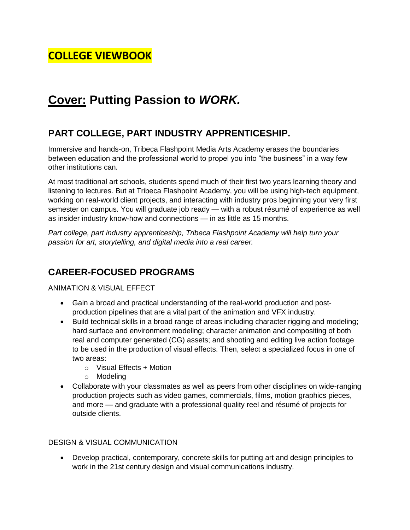# **COLLEGE VIEWBOOK**

# **Cover: Putting Passion to** *WORK.*

# **PART COLLEGE, PART INDUSTRY APPRENTICESHIP.**

Immersive and hands-on, Tribeca Flashpoint Media Arts Academy erases the boundaries between education and the professional world to propel you into "the business" in a way few other institutions can.

At most traditional art schools, students spend much of their first two years learning theory and listening to lectures. But at Tribeca Flashpoint Academy, you will be using high-tech equipment, working on real-world client projects, and interacting with industry pros beginning your very first semester on campus. You will graduate job ready — with a robust résumé of experience as well as insider industry know-how and connections — in as little as 15 months.

*Part college, part industry apprenticeship, Tribeca Flashpoint Academy will help turn your passion for art, storytelling, and digital media into a real career.*

## **CAREER-FOCUSED PROGRAMS**

ANIMATION & VISUAL EFFECT

- Gain a broad and practical understanding of the real-world production and postproduction pipelines that are a vital part of the animation and VFX industry.
- Build technical skills in a broad range of areas including character rigging and modeling; hard surface and environment modeling; character animation and compositing of both real and computer generated (CG) assets; and shooting and editing live action footage to be used in the production of visual effects. Then, select a specialized focus in one of two areas:
	- $\circ$  Visual Effects + Motion
	- o Modeling
- Collaborate with your classmates as well as peers from other disciplines on wide-ranging production projects such as video games, commercials, films, motion graphics pieces, and more — and graduate with a professional quality reel and résumé of projects for outside clients.

#### DESIGN & VISUAL COMMUNICATION

 Develop practical, contemporary, concrete skills for putting art and design principles to work in the 21st century design and visual communications industry.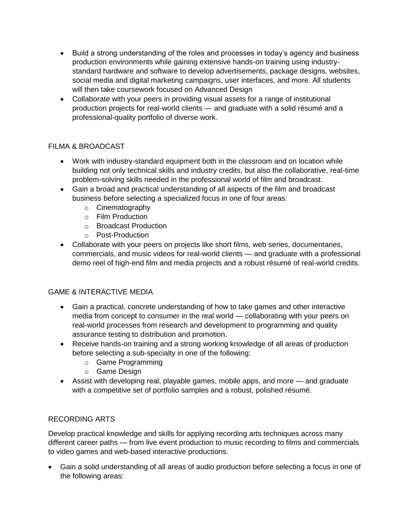- Build a strong understanding of the roles and processes in today's agency and business production environments while gaining extensive hands-on training using industrystandard hardware and software to develop advertisements, package designs, websites, social media and digital marketing campaigns, user interfaces, and more. All students will then take coursework focused on Advanced Design
- Collaborate with your peers in providing visual assets for a range of institutional production projects for real-world clients — and graduate with a solid résumé and a professional-quality portfolio of diverse work.

#### FILMA & BROADCAST

- Work with industry-standard equipment both in the classroom and on location while building not only technical skills and industry credits, but also the collaborative, real-time problem-solving skills needed in the professional world of film and broadcast.
- Gain a broad and practical understanding of all aspects of the film and broadcast business before selecting a specialized focus in one of four areas:
	- o Cinematography
	- o Film Production
	- o Broadcast Production
	- o Post-Production
- Collaborate with your peers on projects like short films, web series, documentaries, commercials, and music videos for real-world clients — and graduate with a professional demo reel of high-end film and media projects and a robust résumé of real-world credits.

#### GAME & INTERACTIVE MEDIA

- Gain a practical, concrete understanding of how to take games and other interactive media from concept to consumer in the real world — collaborating with your peers on real-world processes from research and development to programming and quality assurance testing to distribution and promotion.
- Receive hands-on training and a strong working knowledge of all areas of production before selecting a sub-specialty in one of the following:
	- o Game Programming
	- o Game Design
- Assist with developing real, playable games, mobile apps, and more and graduate with a competitive set of portfolio samples and a robust, polished résumé.

#### RECORDING ARTS

Develop practical knowledge and skills for applying recording arts techniques across many different career paths — from live event production to music recording to films and commercials to video games and web-based interactive productions.

 Gain a solid understanding of all areas of audio production before selecting a focus in one of the following areas: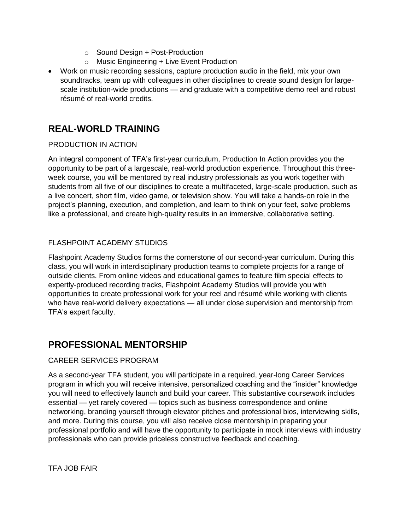- o Sound Design + Post-Production
- o Music Engineering + Live Event Production
- Work on music recording sessions, capture production audio in the field, mix your own soundtracks, team up with colleagues in other disciplines to create sound design for largescale institution-wide productions — and graduate with a competitive demo reel and robust résumé of real-world credits.

# **REAL-WORLD TRAINING**

#### PRODUCTION IN ACTION

An integral component of TFA's first-year curriculum, Production In Action provides you the opportunity to be part of a largescale, real-world production experience. Throughout this threeweek course, you will be mentored by real industry professionals as you work together with students from all five of our disciplines to create a multifaceted, large-scale production, such as a live concert, short film, video game, or television show. You will take a hands-on role in the project's planning, execution, and completion, and learn to think on your feet, solve problems like a professional, and create high-quality results in an immersive, collaborative setting.

#### FLASHPOINT ACADEMY STUDIOS

Flashpoint Academy Studios forms the cornerstone of our second-year curriculum. During this class, you will work in interdisciplinary production teams to complete projects for a range of outside clients. From online videos and educational games to feature film special effects to expertly-produced recording tracks, Flashpoint Academy Studios will provide you with opportunities to create professional work for your reel and résumé while working with clients who have real-world delivery expectations — all under close supervision and mentorship from TFA's expert faculty.

# **PROFESSIONAL MENTORSHIP**

#### CAREER SERVICES PROGRAM

As a second-year TFA student, you will participate in a required, year-long Career Services program in which you will receive intensive, personalized coaching and the "insider" knowledge you will need to effectively launch and build your career. This substantive coursework includes essential — yet rarely covered — topics such as business correspondence and online networking, branding yourself through elevator pitches and professional bios, interviewing skills, and more. During this course, you will also receive close mentorship in preparing your professional portfolio and will have the opportunity to participate in mock interviews with industry professionals who can provide priceless constructive feedback and coaching.

TFA JOB FAIR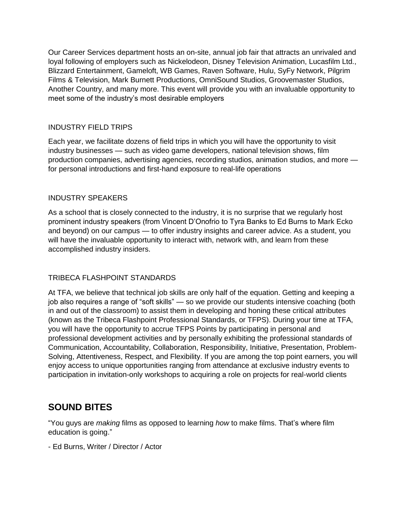Our Career Services department hosts an on-site, annual job fair that attracts an unrivaled and loyal following of employers such as Nickelodeon, Disney Television Animation, Lucasfilm Ltd., Blizzard Entertainment, Gameloft, WB Games, Raven Software, Hulu, SyFy Network, Pilgrim Films & Television, Mark Burnett Productions, OmniSound Studios, Groovemaster Studios, Another Country, and many more. This event will provide you with an invaluable opportunity to meet some of the industry's most desirable employers

#### INDUSTRY FIELD TRIPS

Each year, we facilitate dozens of field trips in which you will have the opportunity to visit industry businesses — such as video game developers, national television shows, film production companies, advertising agencies, recording studios, animation studios, and more for personal introductions and first-hand exposure to real-life operations

#### INDUSTRY SPEAKERS

As a school that is closely connected to the industry, it is no surprise that we regularly host prominent industry speakers (from Vincent D'Onofrio to Tyra Banks to Ed Burns to Mark Ecko and beyond) on our campus — to offer industry insights and career advice. As a student, you will have the invaluable opportunity to interact with, network with, and learn from these accomplished industry insiders.

#### TRIBECA FLASHPOINT STANDARDS

At TFA, we believe that technical job skills are only half of the equation. Getting and keeping a job also requires a range of "soft skills" — so we provide our students intensive coaching (both in and out of the classroom) to assist them in developing and honing these critical attributes (known as the Tribeca Flashpoint Professional Standards, or TFPS). During your time at TFA, you will have the opportunity to accrue TFPS Points by participating in personal and professional development activities and by personally exhibiting the professional standards of Communication, Accountability, Collaboration, Responsibility, Initiative, Presentation, Problem-Solving, Attentiveness, Respect, and Flexibility. If you are among the top point earners, you will enjoy access to unique opportunities ranging from attendance at exclusive industry events to participation in invitation-only workshops to acquiring a role on projects for real-world clients

## **SOUND BITES**

"You guys are *making* films as opposed to learning *how* to make films. That's where film education is going."

- Ed Burns, Writer / Director / Actor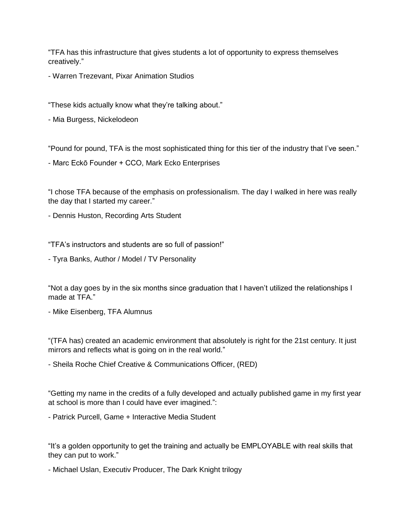"TFA has this infrastructure that gives students a lot of opportunity to express themselves creatively."

- Warren Trezevant, Pixar Animation Studios

"These kids actually know what they're talking about."

- Mia Burgess, Nickelodeon

"Pound for pound, TFA is the most sophisticated thing for this tier of the industry that I've seen."

- Marc Eckō Founder + CCO, Mark Ecko Enterprises

"I chose TFA because of the emphasis on professionalism. The day I walked in here was really the day that I started my career."

- Dennis Huston, Recording Arts Student

"TFA's instructors and students are so full of passion!"

- Tyra Banks, Author / Model / TV Personality

"Not a day goes by in the six months since graduation that I haven't utilized the relationships I made at TFA."

- Mike Eisenberg, TFA Alumnus

"(TFA has) created an academic environment that absolutely is right for the 21st century. It just mirrors and reflects what is going on in the real world."

- Sheila Roche Chief Creative & Communications Officer, (RED)

"Getting my name in the credits of a fully developed and actually published game in my first year at school is more than I could have ever imagined.":

- Patrick Purcell, Game + Interactive Media Student

"It's a golden opportunity to get the training and actually be EMPLOYABLE with real skills that they can put to work."

- Michael Uslan, Executiv Producer, The Dark Knight trilogy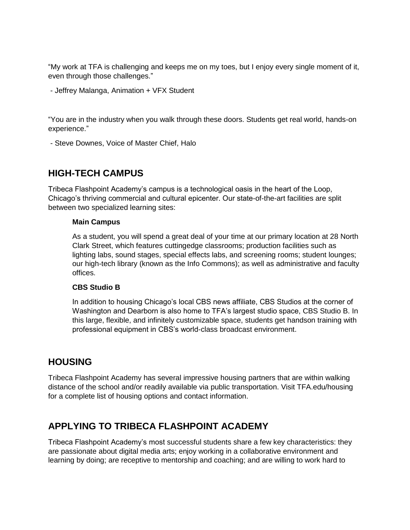"My work at TFA is challenging and keeps me on my toes, but I enjoy every single moment of it, even through those challenges."

- Jeffrey Malanga, Animation + VFX Student

"You are in the industry when you walk through these doors. Students get real world, hands-on experience."

- Steve Downes, Voice of Master Chief, Halo

## **HIGH-TECH CAMPUS**

Tribeca Flashpoint Academy's campus is a technological oasis in the heart of the Loop, Chicago's thriving commercial and cultural epicenter. Our state-of-the-art facilities are split between two specialized learning sites:

#### **Main Campus**

As a student, you will spend a great deal of your time at our primary location at 28 North Clark Street, which features cuttingedge classrooms; production facilities such as lighting labs, sound stages, special effects labs, and screening rooms; student lounges; our high-tech library (known as the Info Commons); as well as administrative and faculty offices.

#### **CBS Studio B**

In addition to housing Chicago's local CBS news affiliate, CBS Studios at the corner of Washington and Dearborn is also home to TFA's largest studio space, CBS Studio B. In this large, flexible, and infinitely customizable space, students get handson training with professional equipment in CBS's world-class broadcast environment.

## **HOUSING**

Tribeca Flashpoint Academy has several impressive housing partners that are within walking distance of the school and/or readily available via public transportation. Visit TFA.edu/housing for a complete list of housing options and contact information.

## **APPLYING TO TRIBECA FLASHPOINT ACADEMY**

Tribeca Flashpoint Academy's most successful students share a few key characteristics: they are passionate about digital media arts; enjoy working in a collaborative environment and learning by doing; are receptive to mentorship and coaching; and are willing to work hard to